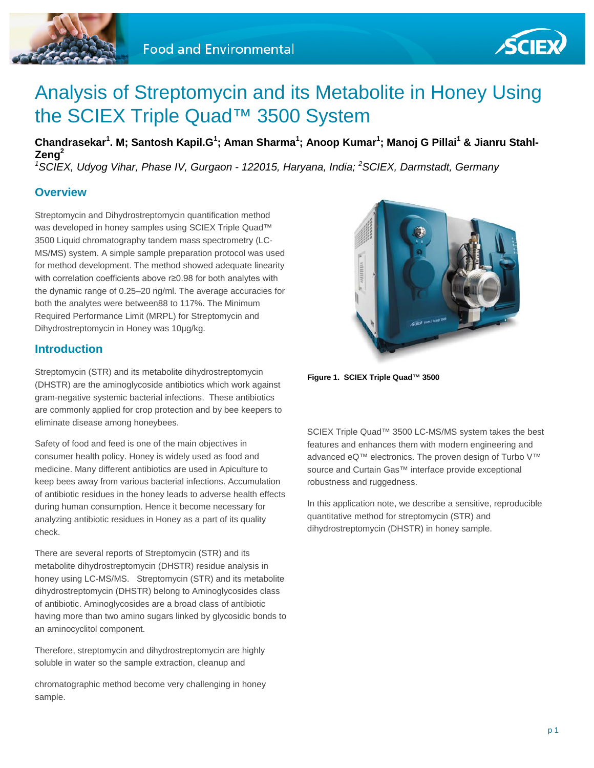



# Analysis of Streptomycin and its Metabolite in Honey Using the SCIEX Triple Quad™ 3500 System

**Chandrasekar<sup>1</sup> . M; Santosh Kapil.G<sup>1</sup> ; Aman Sharma1 ; Anoop Kumar<sup>1</sup> ; Manoj G Pillai<sup>1</sup> & Jianru Stahl-Zeng2** *1 SCIEX, Udyog Vihar, Phase IV, Gurgaon - 122015, Haryana, India; <sup>2</sup> SCIEX, Darmstadt, Germany*

**Overview**

Streptomycin and Dihydrostreptomycin quantification method was developed in honey samples using SCIEX Triple Quad™ 3500 Liquid chromatography tandem mass spectrometry (LC-MS/MS) system. A simple sample preparation protocol was used for method development. The method showed adequate linearity with correlation coefficients above r≥0.98 for both analytes with the dynamic range of 0.25–20 ng/ml. The average accuracies for both the analytes were between88 to 117%. The Minimum Required Performance Limit (MRPL) for Streptomycin and Dihydrostreptomycin in Honey was 10µg/kg.

#### **Introduction**

Streptomycin (STR) and its metabolite dihydrostreptomycin (DHSTR) are the aminoglycoside antibiotics which work against gram-negative systemic bacterial infections. These antibiotics are commonly applied for crop protection and by bee keepers to eliminate disease among honeybees.

Safety of food and feed is one of the main objectives in consumer health policy. Honey is widely used as food and medicine. Many different antibiotics are used in Apiculture to keep bees away from various bacterial infections. Accumulation of antibiotic residues in the honey leads to adverse health effects during human consumption. Hence it become necessary for analyzing antibiotic residues in Honey as a part of its quality check.

There are several reports of Streptomycin (STR) and its metabolite dihydrostreptomycin (DHSTR) residue analysis in honey using LC-MS/MS. Streptomycin (STR) and its metabolite dihydrostreptomycin (DHSTR) belong to Aminoglycosides class of antibiotic. Aminoglycosides are a broad class of antibiotic having more than two amino sugars linked by glycosidic bonds to an aminocyclitol component.

Therefore, streptomycin and dihydrostreptomycin are highly soluble in water so the sample extraction, cleanup and

chromatographic method become very challenging in honey sample.



**Figure 1. SCIEX Triple Quad™ 3500**

SCIEX Triple Quad™ 3500 LC-MS/MS system takes the best features and enhances them with modern engineering and advanced eQ™ electronics. The proven design of Turbo V™ source and Curtain Gas™ interface provide exceptional robustness and ruggedness.

In this application note, we describe a sensitive, reproducible quantitative method for streptomycin (STR) and dihydrostreptomycin (DHSTR) in honey sample.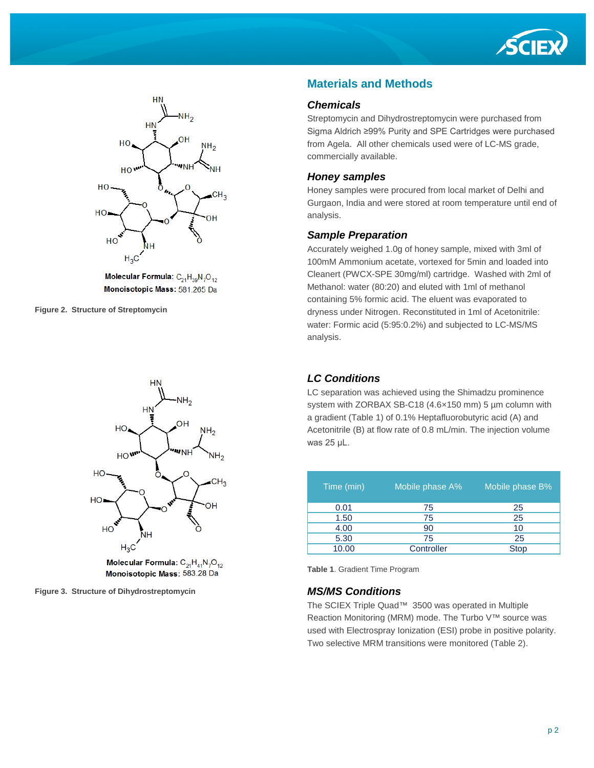



Molecular Formula:  $C_{21}H_{39}N_7O_{12}$ Monoisotopic Mass: 581.265 Da

**Figure 2. Structure of Streptomycin**



Molecular Formula:  $C_{21}H_{41}N_7O_{12}$ Monoisotopic Mass: 583.28 Da

**Figure 3. Structure of Dihydrostreptomycin**

## **Materials and Methods**

#### *Chemicals*

Streptomycin and Dihydrostreptomycin were purchased from Sigma Aldrich ≥99% Purity and SPE Cartridges were purchased from Agela. All other chemicals used were of LC-MS grade, commercially available.

#### *Honey samples*

Honey samples were procured from local market of Delhi and Gurgaon, India and were stored at room temperature until end of analysis.

#### *Sample Preparation*

Accurately weighed 1.0g of honey sample, mixed with 3ml of 100mM Ammonium acetate, vortexed for 5min and loaded into Cleanert (PWCX-SPE 30mg/ml) cartridge. Washed with 2ml of Methanol: water (80:20) and eluted with 1ml of methanol containing 5% formic acid. The eluent was evaporated to dryness under Nitrogen. Reconstituted in 1ml of Acetonitrile: water: Formic acid (5:95:0.2%) and subjected to LC-MS/MS analysis.

## *LC Conditions*

LC separation was achieved using the Shimadzu prominence system with ZORBAX SB-C18 (4.6×150 mm) 5 µm column with a gradient (Table 1) of 0.1% Heptafluorobutyric acid (A) and Acetonitrile (B) at flow rate of 0.8 mL/min. The injection volume was 25 μL.

| Time (min) | Mobile phase A% | Mobile phase B% |
|------------|-----------------|-----------------|
| 0.01       | 75              | 25              |
| 1.50       | 75              | 25              |
| 4.00       | 90              | 10              |
| 5.30       | 75              | 25              |
| 10.00      | Controller      | <b>Stop</b>     |

**Table 1**. Gradient Time Program

#### *MS/MS Conditions*

The SCIEX Triple Quad™ 3500 was operated in Multiple Reaction Monitoring (MRM) mode. The Turbo V™ source was used with Electrospray Ionization (ESI) probe in positive polarity. Two selective MRM transitions were monitored (Table 2).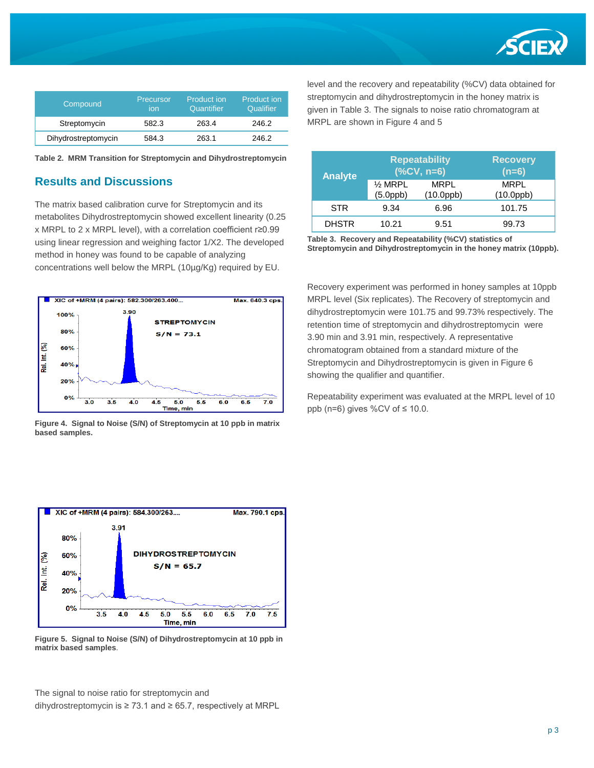

| Compound            | Precursor<br>ion | Product ion<br>Quantifier | Product ion<br>Qualifier |
|---------------------|------------------|---------------------------|--------------------------|
| Streptomycin        | 582.3            | 263.4                     | 246.2                    |
| Dihydrostreptomycin | 584.3            | 263.1                     | 246.2                    |

**Table 2. MRM Transition for Streptomycin and Dihydrostreptomycin** 

## **Results and Discussions**

The matrix based calibration curve for Streptomycin and its metabolites Dihydrostreptomycin showed excellent linearity (0.25 x MRPL to 2 x MRPL level), with a correlation coefficient r≥0.99 using linear regression and weighing factor 1/X2. The developed method in honey was found to be capable of analyzing concentrations well below the MRPL (10µg/Kg) required by EU.



**Figure 4. Signal to Noise (S/N) of Streptomycin at 10 ppb in matrix based samples.** 



**Figure 5. Signal to Noise (S/N) of Dihydrostreptomycin at 10 ppb in matrix based samples**.

The signal to noise ratio for streptomycin and dihydrostreptomycin is ≥ 73.1 and ≥ 65.7, respectively at MRPL level and the recovery and repeatability (%CV) data obtained for streptomycin and dihydrostreptomycin in the honey matrix is given in Table 3. The signals to noise ratio chromatogram at MRPL are shown in Figure 4 and 5

| <b>Analyte</b> | <b>Repeatability</b><br>$(% )^{2}(X,Y,R=6)$ |                         | <b>Recovery</b><br>$(n=6)$ |
|----------------|---------------------------------------------|-------------------------|----------------------------|
|                | $\frac{1}{2}$ MRPL<br>$(5.0$ ppb $)$        | MRPL<br>$(10.0$ ppb $)$ | MRPL<br>$(10.0$ ppb $)$    |
| <b>STR</b>     | 9.34                                        | 6.96                    | 101.75                     |
| <b>DHSTR</b>   | 10.21                                       | 9.51                    | 99.73                      |

**Table 3. Recovery and Repeatability (%CV) statistics of Streptomycin and Dihydrostreptomycin in the honey matrix (10ppb).**

Recovery experiment was performed in honey samples at 10ppb MRPL level (Six replicates). The Recovery of streptomycin and dihydrostreptomycin were 101.75 and 99.73% respectively. The retention time of streptomycin and dihydrostreptomycin were 3.90 min and 3.91 min, respectively. A representative chromatogram obtained from a standard mixture of the Streptomycin and Dihydrostreptomycin is given in Figure 6 showing the qualifier and quantifier.

Repeatability experiment was evaluated at the MRPL level of 10 ppb (n=6) gives %CV of  $\leq 10.0$ .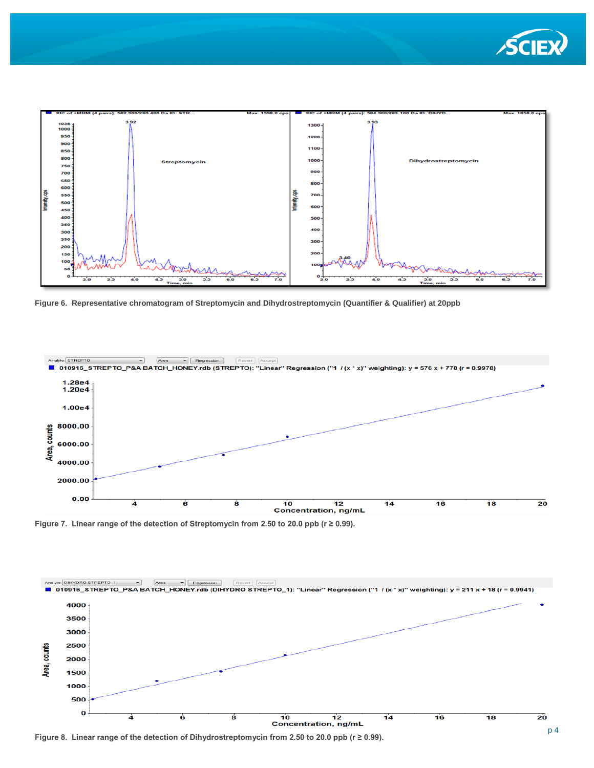



**Figure 6. Representative chromatogram of Streptomycin and Dihydrostreptomycin (Quantifier & Qualifier) at 20ppb**



**Figure 7. Linear range of the detection of Streptomycin from 2.50 to 20.0 ppb (r ≥ 0.99).**



**Figure 8. Linear range of the detection of Dihydrostreptomycin from 2.50 to 20.0 ppb (r ≥ 0.99).**